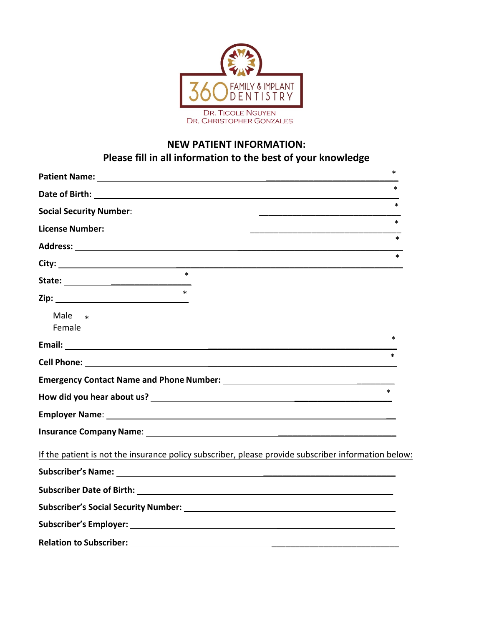

# **NEW PATIENT INFORMATION: Please fill in all information to the best of your knowledge**

|                                                                                                                 | $\ast$ |
|-----------------------------------------------------------------------------------------------------------------|--------|
|                                                                                                                 |        |
| Social Security Number: Same Commission of the Commission of the Commission of the Commission of the Commission |        |
|                                                                                                                 | $\ast$ |
|                                                                                                                 | $\ast$ |
|                                                                                                                 | $\ast$ |
| $\ast$                                                                                                          |        |
|                                                                                                                 |        |
| Male<br>$\ast$<br>Female                                                                                        |        |
|                                                                                                                 | $\ast$ |
|                                                                                                                 |        |
|                                                                                                                 |        |
|                                                                                                                 |        |
|                                                                                                                 |        |
|                                                                                                                 |        |
| If the patient is not the insurance policy subscriber, please provide subscriber information below:             |        |
|                                                                                                                 |        |
|                                                                                                                 |        |
|                                                                                                                 |        |
|                                                                                                                 |        |
|                                                                                                                 |        |
|                                                                                                                 |        |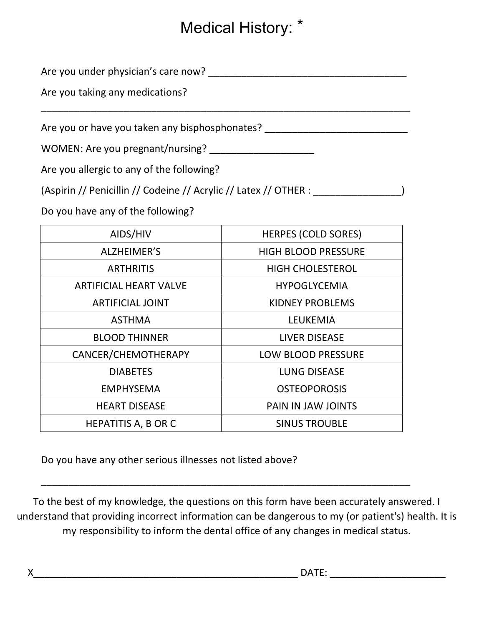# Medical History: \*

Are you under physician's care now? \_\_\_\_\_\_\_\_\_\_\_\_\_\_\_\_\_\_\_\_\_\_\_\_\_\_\_\_\_\_\_\_\_\_\_\_

Are you taking any medications?

Are you or have you taken any bisphosphonates?

WOMEN: Are you pregnant/nursing? \_\_\_\_\_\_\_\_\_\_\_\_\_\_\_\_\_\_\_

Are you allergic to any of the following?

(Aspirin // Penicillin // Codeine // Acrylic // Latex // OTHER : \_\_\_\_\_\_\_\_\_\_\_\_\_\_\_\_)

Do you have any of the following?

| AIDS/HIV                      | <b>HERPES (COLD SORES)</b> |
|-------------------------------|----------------------------|
| ALZHEIMER'S                   | <b>HIGH BLOOD PRESSURE</b> |
| <b>ARTHRITIS</b>              | <b>HIGH CHOLESTEROL</b>    |
| <b>ARTIFICIAL HEART VALVE</b> | <b>HYPOGLYCEMIA</b>        |
| <b>ARTIFICIAL JOINT</b>       | <b>KIDNEY PROBLEMS</b>     |
| <b>ASTHMA</b>                 | <b>LEUKEMIA</b>            |
| <b>BLOOD THINNER</b>          | <b>LIVER DISEASE</b>       |
| CANCER/CHEMOTHERAPY           | <b>LOW BLOOD PRESSURE</b>  |
| <b>DIABETES</b>               | <b>LUNG DISEASE</b>        |
| <b>EMPHYSEMA</b>              | <b>OSTEOPOROSIS</b>        |
| <b>HEART DISEASE</b>          | <b>PAIN IN JAW JOINTS</b>  |
| <b>HEPATITIS A, B OR C</b>    | <b>SINUS TROUBLE</b>       |

Do you have any other serious illnesses not listed above?

To the best of my knowledge, the questions on this form have been accurately answered. I understand that providing incorrect information can be dangerous to my (or patient's) health. It is my responsibility to inform the dental office of any changes in medical status.

\_\_\_\_\_\_\_\_\_\_\_\_\_\_\_\_\_\_\_\_\_\_\_\_\_\_\_\_\_\_\_\_\_\_\_\_\_\_\_\_\_\_\_\_\_\_\_\_\_\_\_\_\_\_\_\_\_\_\_\_\_\_\_\_\_\_\_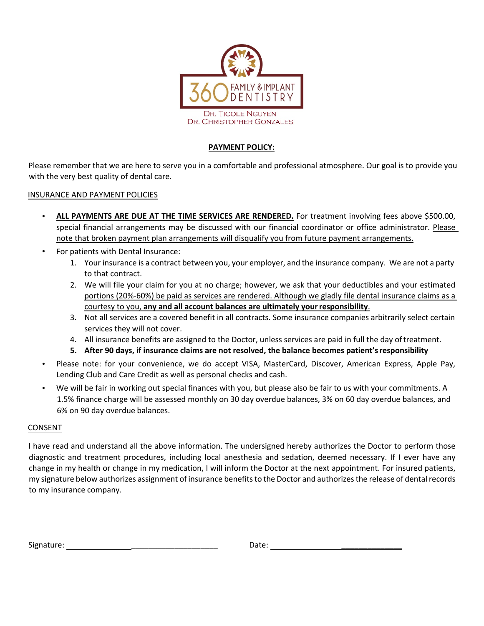

## **PAYMENT POLICY:**

Please remember that we are here to serve you in a comfortable and professional atmosphere. Our goal is to provide you with the very best quality of dental care.

## INSURANCE AND PAYMENT POLICIES

- **ALL PAYMENTS ARE DUE AT THE TIME SERVICES ARE RENDERED.** For treatment involving fees above \$500.00, special financial arrangements may be discussed with our financial coordinator or office administrator. Please note that broken payment plan arrangements will disqualify you from future payment arrangements.
- For patients with Dental Insurance:
	- 1. Your insurance is a contract between you, your employer, and the insurance company. We are nota party to that contract.
	- 2. We will file your claim for you at no charge; however, we ask that your deductibles and your estimated portions (20%-60%) be paid as services are rendered. Although we gladly file dental insurance claims as a courtesy to you, **any and all account balances are ultimately your responsibility**.
	- 3. Not all services are a covered benefit in all contracts. Some insurance companies arbitrarily select certain services they will not cover.
	- 4. All insurance benefits are assigned to the Doctor, unless services are paid in full the day oftreatment.
	- **5. After 90 days, if insurance claims are not resolved, the balance becomes patient'sresponsibility**
- Please note: for your convenience, we do accept VISA, MasterCard, Discover, American Express, Apple Pay, Lending Club and Care Credit as well as personal checks and cash.
- We will be fair in working out special finances with you, but please also be fair to us with your commitments. A 1.5% finance charge will be assessed monthly on 30 day overdue balances, 3% on 60 day overdue balances, and 6% on 90 day overdue balances.

### CONSENT

I have read and understand all the above information. The undersigned hereby authorizes the Doctor to perform those diagnostic and treatment procedures, including local anesthesia and sedation, deemed necessary. If I ever have any change in my health or change in my medication, I will inform the Doctor at the next appointment. For insured patients, my signature below authorizes assignment of insurance benefitsto the Doctor and authorizesthe release of dental records to my insurance company.

| Signature: |  |
|------------|--|
|            |  |

Signature: \_\_\_\_\_\_\_\_\_\_\_\_\_\_\_\_\_\_\_\_ Date: \_\_\_\_\_\_\_\_\_\_\_\_\_\_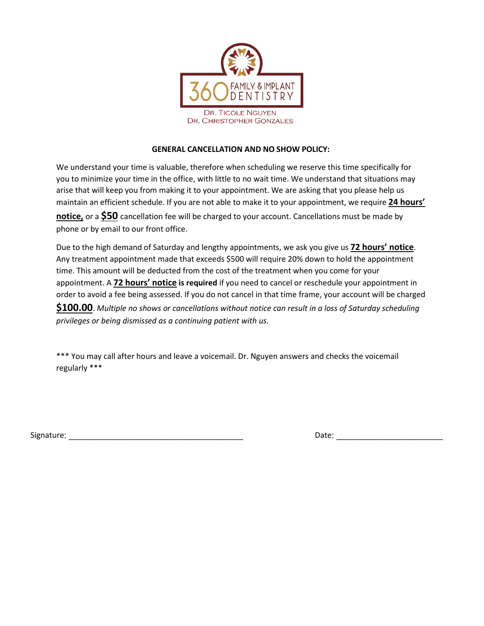

# **GENERAL CANCELLATION AND NO SHOW POLICY:**

We understand your time is valuable, therefore when scheduling we reserve this time specifically for you to minimize your time in the office, with little to no wait time. We understand that situations may arise that will keep you from making it to your appointment. We are asking that you please help us maintain an efficient schedule. If you are not able to make it to your appointment, we require **24 hours' notice,** or a **\$50** cancellation fee will be charged to your account. Cancellations must be made by phone or by email to our front office.

Due to the high demand of Saturday and lengthy appointments, we ask you give us **72 hours' notice**. Any treatment appointment made that exceeds \$500 will require 20% down to hold the appointment time. This amount will be deducted from the costof the treatment when you come for your appointment. A **72 hours' notice is required** if you need to cancel or reschedule your appointment in order to avoid a fee being assessed. If you do not cancel in that time frame, your account will be charged **\$100.00**. *Multiple no shows or cancellations without notice can result in a loss of Saturday scheduling privileges or being dismissed as a continuing patient with us.*

\*\*\* You may call after hours and leave a voicemail. Dr. Nguyen answers and checks the voicemail regularly \*\*\*

Signature: \_\_\_\_\_\_\_\_\_\_\_\_\_\_\_\_\_\_\_\_\_\_\_\_\_\_\_\_\_\_\_\_\_\_\_\_ Date: \_\_\_\_\_\_\_\_\_\_\_\_\_\_\_\_\_\_\_\_\_\_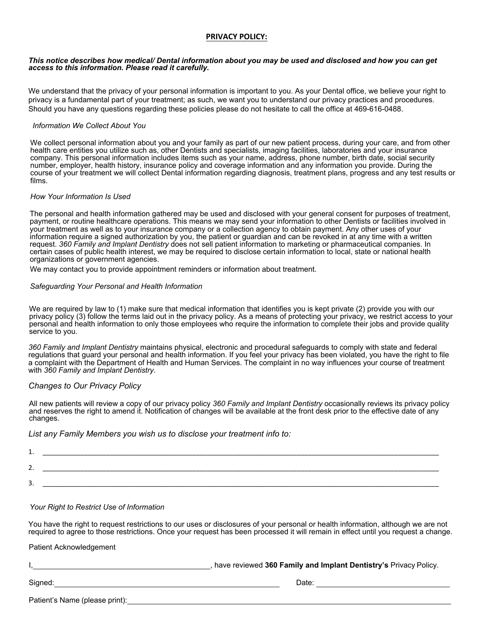#### **PRIVACY POLICY:**

#### *This notice describes how medical/ Dental information about you may be used and disclosed and how you can get access to this information. Please read it carefully.*

We understand that the privacy of your personal information is important to you. As your Dental office, we believe your right to privacy is a fundamental part of your treatment; as such, we want you to understand our privacy practices and procedures. Should you have any questions regarding these policies please do not hesitate to call the office at 469-616-0488.

#### *Information We Collect About You*

We collect personal information about you and your family as part of our new patient process, during your care, and from other health care entities you utilize such as, other Dentists and specialists, imaging facilities, laboratories and your insurance company. This personal information includes items such as your name, address, phone number, birth date, social security number, employer, health history, insurance policy and coverage information and any information you provide. During the course of your treatment we will collect Dental information regarding diagnosis, treatment plans, progress and any test results or films.

#### *How Your Information Is Used*

The personal and health information gathered may be used and disclosed with your general consent for purposes of treatment, payment, or routine healthcare operations. This means we may send your information to other Dentists or facilities involved in your treatment as well as to your insurance company or a collection agency to obtain payment. Any other uses of your information require a signed authorization by you, the patient or guardian and can be revoked in at any time with a written request. *360 Family and Implant Dentistry* does not sell patient information to marketing or pharmaceutical companies. In certain cases of public health interest, we may be required to disclose certain information to local, state or national health organizations or government agencies.

We may contact you to provide appointment reminders or information about treatment.

#### *Safeguarding Your Personal and Health Information*

We are required by law to (1) make sure that medical information that identifies you is kept private (2) provide you with our privacy policy (3) follow the terms laid out in the privacy policy. As a means of protecting your privacy, we restrict access to your personal and health information to only those employees who require the information to complete their jobs and provide quality service to you.

*360 Family and Implant Dentistry* maintains physical, electronic and procedural safeguards to comply with state and federal regulations that guard your personal and health information. If you feel your privacy has been violated, you have the right to file a complaint with the Department of Health and Human Services. The complaint in no way influences your course of treatment with *360 Family and Implant Dentistry*.

#### *Changes to Our Privacy Policy*

All new patients will review a copy of our privacy policy *360 Family and Implant Dentistry* occasionally reviews its privacy policy and reserves the right to amend it. Notification of changes will be available at the front desk prior to the effective date of any changes.

#### *List any Family Members you wish us to disclose your treatment info to:*

| . .      |  |
|----------|--|
| . .      |  |
| <u>.</u> |  |

#### *Your Right to Restrict Use of Information*

You have the right to request restrictions to our uses or disclosures of your personal or health information, although we are not required to agree to those restrictions. Once your request has been processed it will remain in effect until you request a change.

#### Patient Acknowledgement

I, , have reviewed **360 Family and Implant Dentistry's** Privacy Policy.

Signed: Date: Patient's Name (please print):